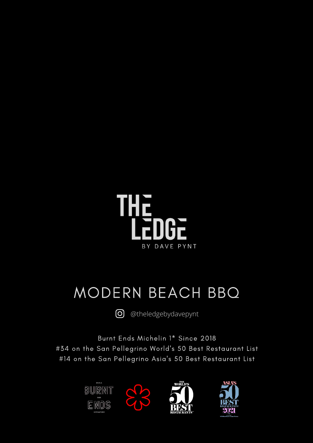

## MODERN BEACH BBQ

 $\circledcirc$ [@theledgebydavepynt](https://www.instagram.com/theledgebydavepynt/?hl=en)

Burnt Ends Michelin 1\* Since 2018 #34 on the San Pellegrino World's 50 Best Restaurant List #14 on the San Pellegrino Asia's 50 Best Restaurant List